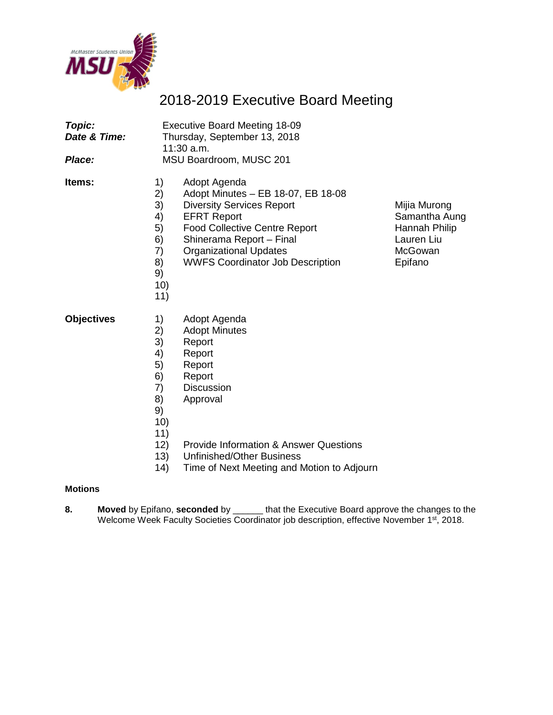

### 2018-2019 Executive Board Meeting

| <b>Topic:</b><br>Date & Time:<br>Place: |                                                                                | <b>Executive Board Meeting 18-09</b><br>Thursday, September 13, 2018<br>11:30 a.m.<br>MSU Boardroom, MUSC 201                                                                                                                                                |                                                                                    |
|-----------------------------------------|--------------------------------------------------------------------------------|--------------------------------------------------------------------------------------------------------------------------------------------------------------------------------------------------------------------------------------------------------------|------------------------------------------------------------------------------------|
| Items:                                  | 1)<br>2)<br>3)<br>4)<br>5)<br>6)<br>7)<br>8)<br>9)<br>10)<br>11)               | Adopt Agenda<br>Adopt Minutes - EB 18-07, EB 18-08<br><b>Diversity Services Report</b><br><b>EFRT Report</b><br><b>Food Collective Centre Report</b><br>Shinerama Report - Final<br><b>Organizational Updates</b><br><b>WWFS Coordinator Job Description</b> | Mijia Murong<br>Samantha Aung<br>Hannah Philip<br>Lauren Liu<br>McGowan<br>Epifano |
| <b>Objectives</b>                       | 1)<br>2)<br>3)<br>4)<br>5)<br>6)<br>7)<br>8)<br>9)<br>10)<br>11)<br>12)<br>13) | Adopt Agenda<br><b>Adopt Minutes</b><br>Report<br>Report<br>Report<br>Report<br><b>Discussion</b><br>Approval<br><b>Provide Information &amp; Answer Questions</b><br><b>Unfinished/Other Business</b>                                                       |                                                                                    |

14) Time of Next Meeting and Motion to Adjourn

### **Motions**

**8. Moved** by Epifano, **seconded** by \_\_\_\_\_\_ that the Executive Board approve the changes to the Welcome Week Faculty Societies Coordinator job description, effective November 1st, 2018.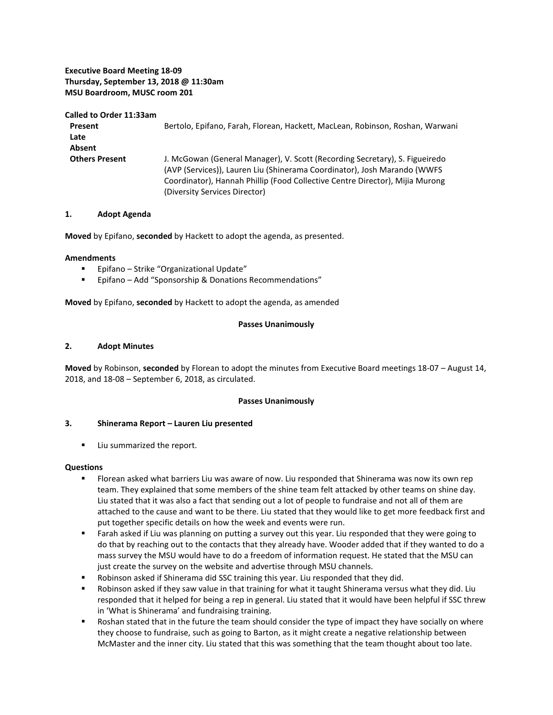### **Executive Board Meeting 18-09 Thursday, September 13, 2018 @ 11:30am MSU Boardroom, MUSC room 201**

#### **Called to Order 11:33am**

| Present               | Bertolo, Epifano, Farah, Florean, Hackett, MacLean, Robinson, Roshan, Warwani |  |  |
|-----------------------|-------------------------------------------------------------------------------|--|--|
| Late                  |                                                                               |  |  |
| Absent                |                                                                               |  |  |
| <b>Others Present</b> | J. McGowan (General Manager), V. Scott (Recording Secretary), S. Figueiredo   |  |  |
|                       | (AVP (Services)), Lauren Liu (Shinerama Coordinator), Josh Marando (WWFS)     |  |  |
|                       | Coordinator), Hannah Phillip (Food Collective Centre Director), Mijia Murong  |  |  |
|                       | (Diversity Services Director)                                                 |  |  |

### **1. Adopt Agenda**

**Moved** by Epifano, **seconded** by Hackett to adopt the agenda, as presented.

#### **Amendments**

- **Epifano Strike "Organizational Update"**
- Epifano Add "Sponsorship & Donations Recommendations"

**Moved** by Epifano, **seconded** by Hackett to adopt the agenda, as amended

### **Passes Unanimously**

### **2. Adopt Minutes**

**Moved** by Robinson, **seconded** by Florean to adopt the minutes from Executive Board meetings 18-07 – August 14, 2018, and 18-08 – September 6, 2018, as circulated.

### **Passes Unanimously**

### **3. Shinerama Report – Lauren Liu presented**

**Liu summarized the report.** 

### **Questions**

- Florean asked what barriers Liu was aware of now. Liu responded that Shinerama was now its own rep team. They explained that some members of the shine team felt attacked by other teams on shine day. Liu stated that it was also a fact that sending out a lot of people to fundraise and not all of them are attached to the cause and want to be there. Liu stated that they would like to get more feedback first and put together specific details on how the week and events were run.
- Farah asked if Liu was planning on putting a survey out this year. Liu responded that they were going to do that by reaching out to the contacts that they already have. Wooder added that if they wanted to do a mass survey the MSU would have to do a freedom of information request. He stated that the MSU can just create the survey on the website and advertise through MSU channels.
- Robinson asked if Shinerama did SSC training this year. Liu responded that they did.
- Robinson asked if they saw value in that training for what it taught Shinerama versus what they did. Liu responded that it helped for being a rep in general. Liu stated that it would have been helpful if SSC threw in 'What is Shinerama' and fundraising training.
- Roshan stated that in the future the team should consider the type of impact they have socially on where they choose to fundraise, such as going to Barton, as it might create a negative relationship between McMaster and the inner city. Liu stated that this was something that the team thought about too late.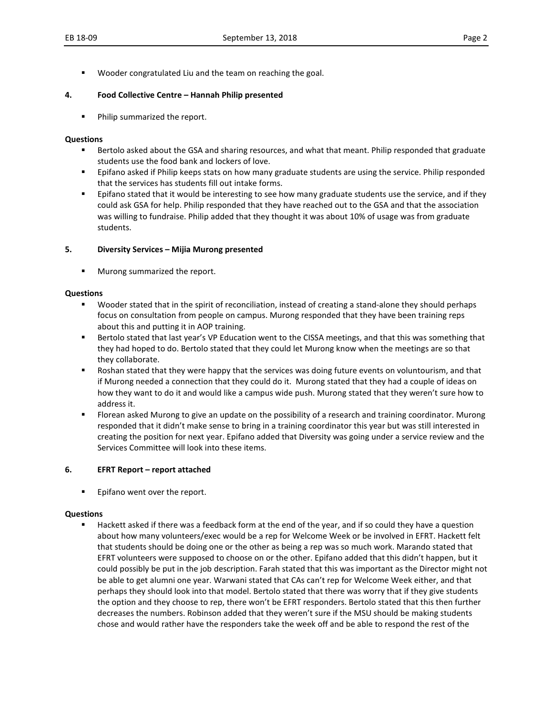Wooder congratulated Liu and the team on reaching the goal.

### **4. Food Collective Centre – Hannah Philip presented**

**Philip summarized the report.** 

### **Questions**

- Bertolo asked about the GSA and sharing resources, and what that meant. Philip responded that graduate students use the food bank and lockers of love.
- **EXECT AS EXECTS FILIST 2** Epifano asked if Philip keeps stats on how many graduate students are using the service. Philip responded that the services has students fill out intake forms.
- Epifano stated that it would be interesting to see how many graduate students use the service, and if they could ask GSA for help. Philip responded that they have reached out to the GSA and that the association was willing to fundraise. Philip added that they thought it was about 10% of usage was from graduate students.

### **5. Diversity Services – Mijia Murong presented**

Murong summarized the report.

### **Questions**

- Wooder stated that in the spirit of reconciliation, instead of creating a stand-alone they should perhaps focus on consultation from people on campus. Murong responded that they have been training reps about this and putting it in AOP training.
- Bertolo stated that last year's VP Education went to the CISSA meetings, and that this was something that they had hoped to do. Bertolo stated that they could let Murong know when the meetings are so that they collaborate.
- **BUT ALT STARS IN STARS IN STARS IN STARS IN STARS IN STARS IN STARS IN STARS IN STARS IN STARS IN STARS IN STARS IN STARS IN STARS IN STARS IN STARS IN STARS IN STARS IN STARS IN STARS IN STARS IN STARS IN STARS IN STARS** if Murong needed a connection that they could do it. Murong stated that they had a couple of ideas on how they want to do it and would like a campus wide push. Murong stated that they weren't sure how to address it.
- Florean asked Murong to give an update on the possibility of a research and training coordinator. Murong responded that it didn't make sense to bring in a training coordinator this year but was still interested in creating the position for next year. Epifano added that Diversity was going under a service review and the Services Committee will look into these items.

### **6. EFRT Report – report attached**

**Epifano went over the report.** 

### **Questions**

**Hackett asked if there was a feedback form at the end of the year, and if so could they have a question** about how many volunteers/exec would be a rep for Welcome Week or be involved in EFRT. Hackett felt that students should be doing one or the other as being a rep was so much work. Marando stated that EFRT volunteers were supposed to choose on or the other. Epifano added that this didn't happen, but it could possibly be put in the job description. Farah stated that this was important as the Director might not be able to get alumni one year. Warwani stated that CAs can't rep for Welcome Week either, and that perhaps they should look into that model. Bertolo stated that there was worry that if they give students the option and they choose to rep, there won't be EFRT responders. Bertolo stated that this then further decreases the numbers. Robinson added that they weren't sure if the MSU should be making students chose and would rather have the responders take the week off and be able to respond the rest of the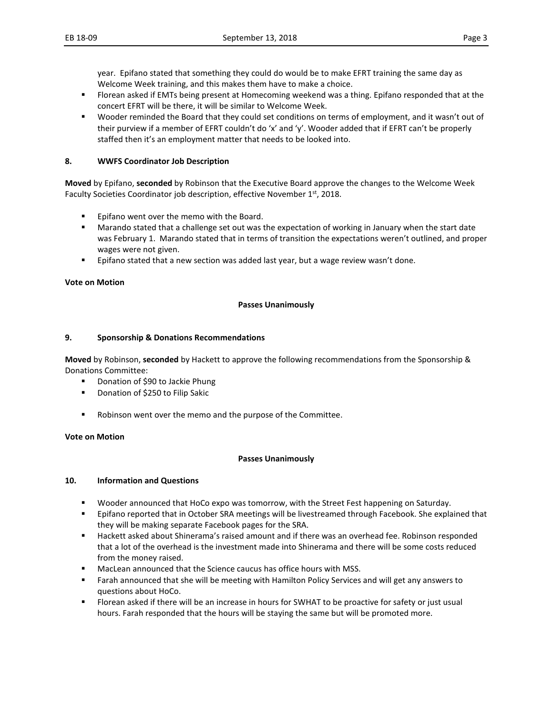year. Epifano stated that something they could do would be to make EFRT training the same day as Welcome Week training, and this makes them have to make a choice.

- Florean asked if EMTs being present at Homecoming weekend was a thing. Epifano responded that at the concert EFRT will be there, it will be similar to Welcome Week.
- Wooder reminded the Board that they could set conditions on terms of employment, and it wasn't out of their purview if a member of EFRT couldn't do 'x' and 'y'. Wooder added that if EFRT can't be properly staffed then it's an employment matter that needs to be looked into.

### **8. WWFS Coordinator Job Description**

**Moved** by Epifano, **seconded** by Robinson that the Executive Board approve the changes to the Welcome Week Faculty Societies Coordinator job description, effective November 1<sup>st</sup>, 2018.

- **Epifano went over the memo with the Board.**
- Marando stated that a challenge set out was the expectation of working in January when the start date was February 1. Marando stated that in terms of transition the expectations weren't outlined, and proper wages were not given.
- **Epifano stated that a new section was added last year, but a wage review wasn't done.**

### **Vote on Motion**

### **Passes Unanimously**

### **9. Sponsorship & Donations Recommendations**

**Moved** by Robinson, **seconded** by Hackett to approve the following recommendations from the Sponsorship & Donations Committee:

- Donation of \$90 to Jackie Phung
- **•** Donation of \$250 to Filip Sakic
- Robinson went over the memo and the purpose of the Committee.

### **Vote on Motion**

### **Passes Unanimously**

### **10. Information and Questions**

- Wooder announced that HoCo expo was tomorrow, with the Street Fest happening on Saturday.
- **Epifano reported that in October SRA meetings will be livestreamed through Facebook. She explained that** they will be making separate Facebook pages for the SRA.
- Hackett asked about Shinerama's raised amount and if there was an overhead fee. Robinson responded that a lot of the overhead is the investment made into Shinerama and there will be some costs reduced from the money raised.
- MacLean announced that the Science caucus has office hours with MSS.
- Farah announced that she will be meeting with Hamilton Policy Services and will get any answers to questions about HoCo.
- Florean asked if there will be an increase in hours for SWHAT to be proactive for safety or just usual hours. Farah responded that the hours will be staying the same but will be promoted more.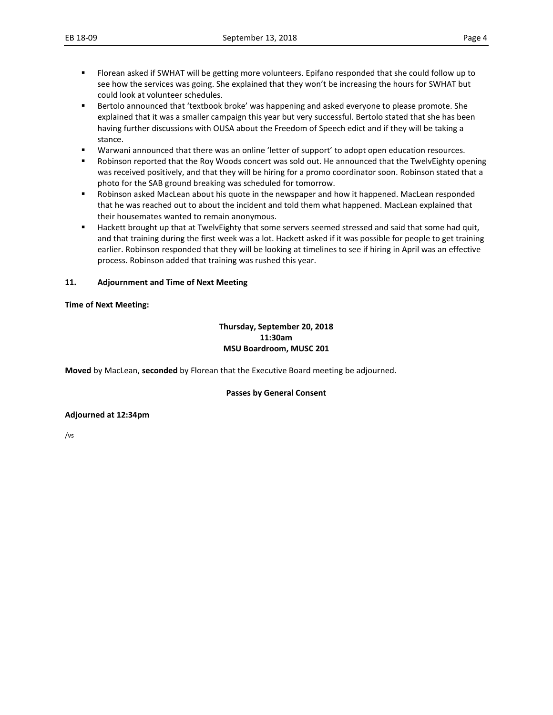- Florean asked if SWHAT will be getting more volunteers. Epifano responded that she could follow up to see how the services was going. She explained that they won't be increasing the hours for SWHAT but could look at volunteer schedules.
- **Bertolo announced that 'textbook broke' was happening and asked everyone to please promote. She** explained that it was a smaller campaign this year but very successful. Bertolo stated that she has been having further discussions with OUSA about the Freedom of Speech edict and if they will be taking a stance.
- Warwani announced that there was an online 'letter of support' to adopt open education resources.
- **BED 10.5 That Soldings That Solding That Solding The Sold Solding 1** and that the TwelvEighty opening 1.1 and that the TwelvEighty opening was received positively, and that they will be hiring for a promo coordinator soon. Robinson stated that a photo for the SAB ground breaking was scheduled for tomorrow.
- **Robinson asked MacLean about his quote in the newspaper and how it happened. MacLean responded** that he was reached out to about the incident and told them what happened. MacLean explained that their housemates wanted to remain anonymous.
- Hackett brought up that at TwelvEighty that some servers seemed stressed and said that some had quit, and that training during the first week was a lot. Hackett asked if it was possible for people to get training earlier. Robinson responded that they will be looking at timelines to see if hiring in April was an effective process. Robinson added that training was rushed this year.

### **11. Adjournment and Time of Next Meeting**

### **Time of Next Meeting:**

### **Thursday, September 20, 2018 11:30am MSU Boardroom, MUSC 201**

**Moved** by MacLean, **seconded** by Florean that the Executive Board meeting be adjourned.

### **Passes by General Consent**

### **Adjourned at 12:34pm**

/vs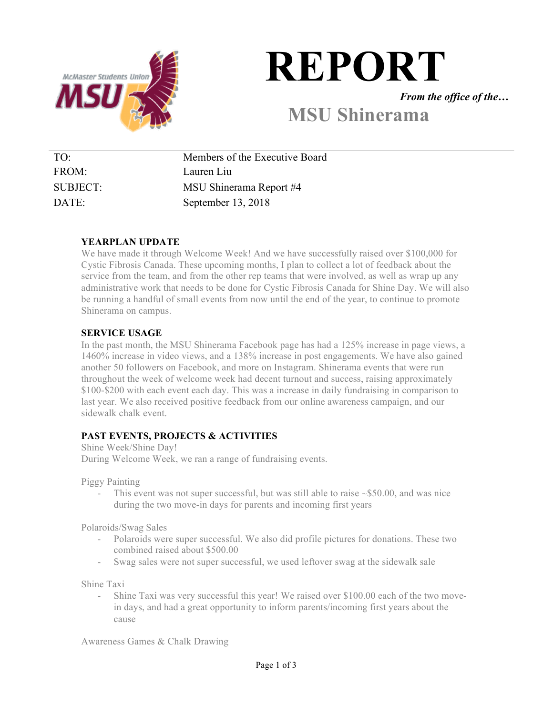

# **REPORT**

*From the office of the…*

### **MSU Shinerama**

| Members of the Executive Board |
|--------------------------------|
| Lauren Liu                     |
| MSU Shinerama Report #4        |
| September 13, 2018             |
|                                |

### **YEARPLAN UPDATE**

We have made it through Welcome Week! And we have successfully raised over \$100,000 for Cystic Fibrosis Canada. These upcoming months, I plan to collect a lot of feedback about the service from the team, and from the other rep teams that were involved, as well as wrap up any administrative work that needs to be done for Cystic Fibrosis Canada for Shine Day. We will also be running a handful of small events from now until the end of the year, to continue to promote Shinerama on campus.

### **SERVICE USAGE**

In the past month, the MSU Shinerama Facebook page has had a 125% increase in page views, a 1460% increase in video views, and a 138% increase in post engagements. We have also gained another 50 followers on Facebook, and more on Instagram. Shinerama events that were run throughout the week of welcome week had decent turnout and success, raising approximately \$100-\$200 with each event each day. This was a increase in daily fundraising in comparison to last year. We also received positive feedback from our online awareness campaign, and our sidewalk chalk event.

### **PAST EVENTS, PROJECTS & ACTIVITIES**

Shine Week/Shine Day! During Welcome Week, we ran a range of fundraising events.

Piggy Painting

This event was not super successful, but was still able to raise  $\sim$ \$50.00, and was nice during the two move-in days for parents and incoming first years

Polaroids/Swag Sales

- Polaroids were super successful. We also did profile pictures for donations. These two combined raised about \$500.00
- Swag sales were not super successful, we used leftover swag at the sidewalk sale

Shine Taxi

Shine Taxi was very successful this year! We raised over \$100.00 each of the two movein days, and had a great opportunity to inform parents/incoming first years about the cause

Awareness Games & Chalk Drawing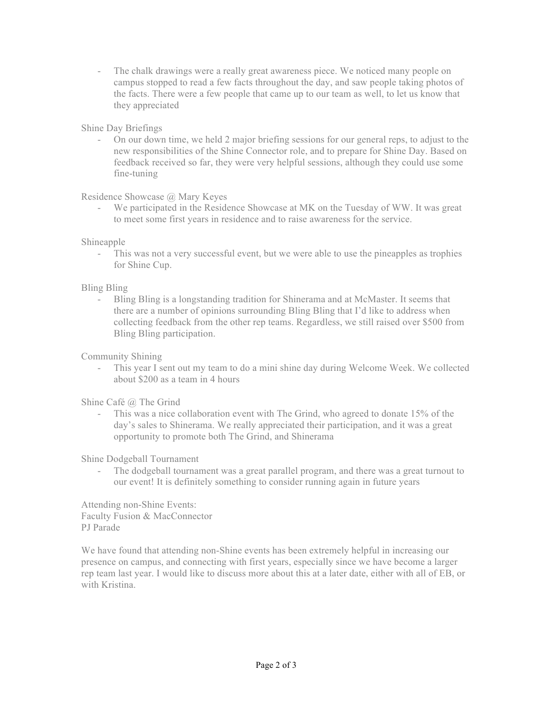- The chalk drawings were a really great awareness piece. We noticed many people on campus stopped to read a few facts throughout the day, and saw people taking photos of the facts. There were a few people that came up to our team as well, to let us know that they appreciated

### Shine Day Briefings

- On our down time, we held 2 major briefing sessions for our general reps, to adjust to the new responsibilities of the Shine Connector role, and to prepare for Shine Day. Based on feedback received so far, they were very helpful sessions, although they could use some fine-tuning

Residence Showcase @ Mary Keyes

We participated in the Residence Showcase at MK on the Tuesday of WW. It was great to meet some first years in residence and to raise awareness for the service.

Shineapple

- This was not a very successful event, but we were able to use the pineapples as trophies for Shine Cup.

Bling Bling

- Bling Bling is a longstanding tradition for Shinerama and at McMaster. It seems that there are a number of opinions surrounding Bling Bling that I'd like to address when collecting feedback from the other rep teams. Regardless, we still raised over \$500 from Bling Bling participation.

Community Shining

- This year I sent out my team to do a mini shine day during Welcome Week. We collected about \$200 as a team in 4 hours

Shine Café @ The Grind

- This was a nice collaboration event with The Grind, who agreed to donate 15% of the day's sales to Shinerama. We really appreciated their participation, and it was a great opportunity to promote both The Grind, and Shinerama

Shine Dodgeball Tournament

- The dodgeball tournament was a great parallel program, and there was a great turnout to our event! It is definitely something to consider running again in future years

Attending non-Shine Events: Faculty Fusion & MacConnector PJ Parade

We have found that attending non-Shine events has been extremely helpful in increasing our presence on campus, and connecting with first years, especially since we have become a larger rep team last year. I would like to discuss more about this at a later date, either with all of EB, or with Kristina.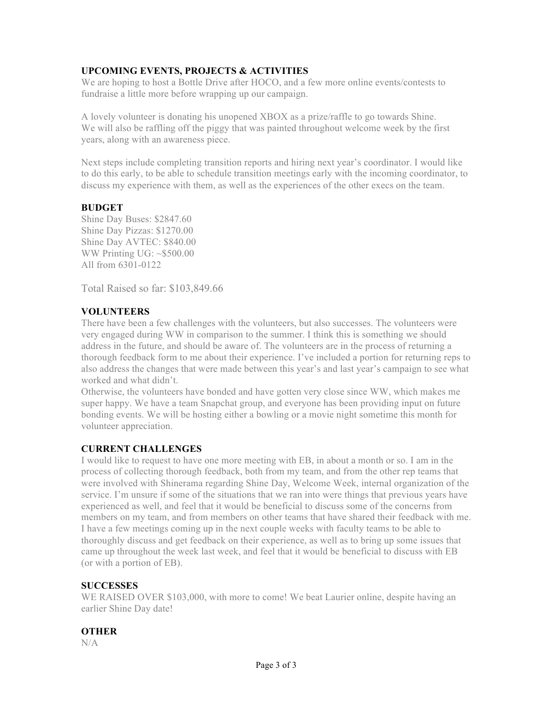### **UPCOMING EVENTS, PROJECTS & ACTIVITIES**

We are hoping to host a Bottle Drive after HOCO, and a few more online events/contests to fundraise a little more before wrapping up our campaign.

A lovely volunteer is donating his unopened XBOX as a prize/raffle to go towards Shine. We will also be raffling off the piggy that was painted throughout welcome week by the first years, along with an awareness piece.

Next steps include completing transition reports and hiring next year's coordinator. I would like to do this early, to be able to schedule transition meetings early with the incoming coordinator, to discuss my experience with them, as well as the experiences of the other execs on the team.

### **BUDGET**

Shine Day Buses: \$2847.60 Shine Day Pizzas: \$1270.00 Shine Day AVTEC: \$840.00 WW Printing UG: ~\$500.00 All from 6301-0122

Total Raised so far: \$103,849.66

### **VOLUNTEERS**

There have been a few challenges with the volunteers, but also successes. The volunteers were very engaged during WW in comparison to the summer. I think this is something we should address in the future, and should be aware of. The volunteers are in the process of returning a thorough feedback form to me about their experience. I've included a portion for returning reps to also address the changes that were made between this year's and last year's campaign to see what worked and what didn't.

Otherwise, the volunteers have bonded and have gotten very close since WW, which makes me super happy. We have a team Snapchat group, and everyone has been providing input on future bonding events. We will be hosting either a bowling or a movie night sometime this month for volunteer appreciation.

### **CURRENT CHALLENGES**

I would like to request to have one more meeting with EB, in about a month or so. I am in the process of collecting thorough feedback, both from my team, and from the other rep teams that were involved with Shinerama regarding Shine Day, Welcome Week, internal organization of the service. I'm unsure if some of the situations that we ran into were things that previous years have experienced as well, and feel that it would be beneficial to discuss some of the concerns from members on my team, and from members on other teams that have shared their feedback with me. I have a few meetings coming up in the next couple weeks with faculty teams to be able to thoroughly discuss and get feedback on their experience, as well as to bring up some issues that came up throughout the week last week, and feel that it would be beneficial to discuss with EB (or with a portion of EB).

### **SUCCESSES**

WE RAISED OVER \$103,000, with more to come! We beat Laurier online, despite having an earlier Shine Day date!

### **OTHER**

N/A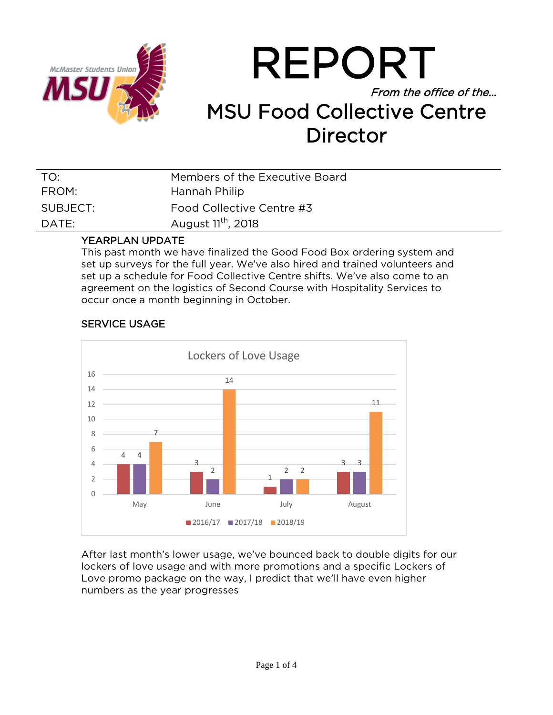

## REPORT From the office of the… MSU Food Collective Centre Director

| TO:      | Members of the Executive Board |
|----------|--------------------------------|
| FROM:    | Hannah Philip                  |
| SUBJECT: | Food Collective Centre #3      |
| DATE:    | August 11 <sup>th</sup> , 2018 |
|          |                                |

### YEARPLAN UPDATE

This past month we have finalized the Good Food Box ordering system and set up surveys for the full year. We've also hired and trained volunteers and set up a schedule for Food Collective Centre shifts. We've also come to an agreement on the logistics of Second Course with Hospitality Services to occur once a month beginning in October.



### SERVICE USAGE

After last month's lower usage, we've bounced back to double digits for our lockers of love usage and with more promotions and a specific Lockers of Love promo package on the way, I predict that we'll have even higher numbers as the year progresses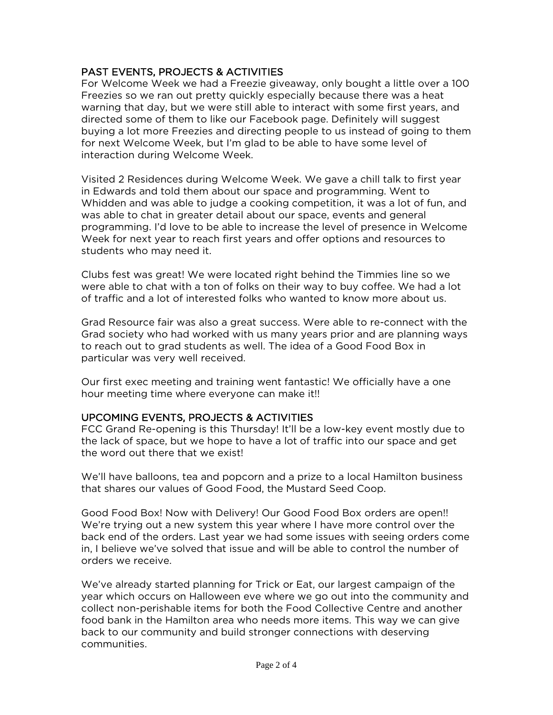### PAST EVENTS, PROJECTS & ACTIVITIES

For Welcome Week we had a Freezie giveaway, only bought a little over a 100 Freezies so we ran out pretty quickly especially because there was a heat warning that day, but we were still able to interact with some first years, and directed some of them to like our Facebook page. Definitely will suggest buying a lot more Freezies and directing people to us instead of going to them for next Welcome Week, but I'm glad to be able to have some level of interaction during Welcome Week.

Visited 2 Residences during Welcome Week. We gave a chill talk to first year in Edwards and told them about our space and programming. Went to Whidden and was able to judge a cooking competition, it was a lot of fun, and was able to chat in greater detail about our space, events and general programming. I'd love to be able to increase the level of presence in Welcome Week for next year to reach first years and offer options and resources to students who may need it.

Clubs fest was great! We were located right behind the Timmies line so we were able to chat with a ton of folks on their way to buy coffee. We had a lot of traffic and a lot of interested folks who wanted to know more about us.

Grad Resource fair was also a great success. Were able to re-connect with the Grad society who had worked with us many years prior and are planning ways to reach out to grad students as well. The idea of a Good Food Box in particular was very well received.

Our first exec meeting and training went fantastic! We officially have a one hour meeting time where everyone can make it!!

### UPCOMING EVENTS, PROJECTS & ACTIVITIES

FCC Grand Re-opening is this Thursday! It'll be a low-key event mostly due to the lack of space, but we hope to have a lot of traffic into our space and get the word out there that we exist!

We'll have balloons, tea and popcorn and a prize to a local Hamilton business that shares our values of Good Food, the Mustard Seed Coop.

Good Food Box! Now with Delivery! Our Good Food Box orders are open!! We're trying out a new system this year where I have more control over the back end of the orders. Last year we had some issues with seeing orders come in, I believe we've solved that issue and will be able to control the number of orders we receive.

We've already started planning for Trick or Eat, our largest campaign of the year which occurs on Halloween eve where we go out into the community and collect non-perishable items for both the Food Collective Centre and another food bank in the Hamilton area who needs more items. This way we can give back to our community and build stronger connections with deserving communities.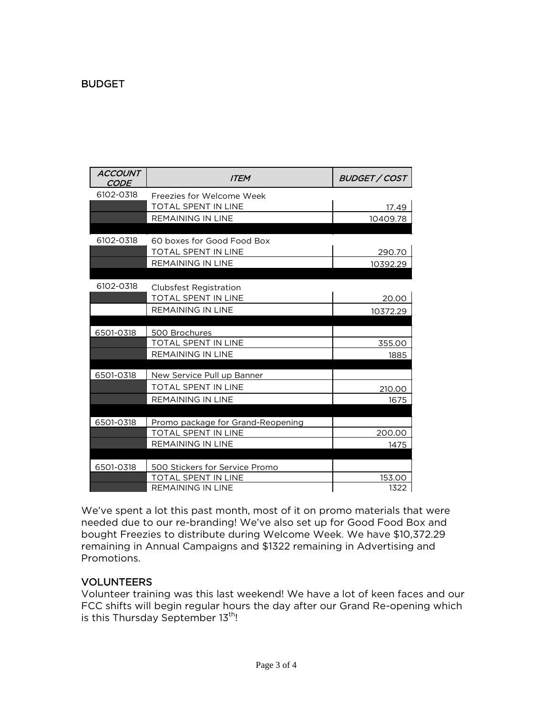### **BUDGET**

| <b>ACCOUNT</b><br><b>CODE</b> | <b>ITEM</b>                                                 | <b>BUDGET / COST</b> |
|-------------------------------|-------------------------------------------------------------|----------------------|
| 6102-0318                     | Freezies for Welcome Week                                   |                      |
|                               | <b>TOTAL SPENT IN LINE</b>                                  | 17.49                |
|                               | <b>REMAINING IN LINE</b>                                    | 10409.78             |
|                               |                                                             |                      |
| 6102-0318                     | 60 boxes for Good Food Box                                  |                      |
|                               | <b>TOTAL SPENT IN LINE</b>                                  | 290.70               |
|                               | REMAINING IN LINE                                           | 10392.29             |
| 6102-0318                     |                                                             |                      |
|                               | <b>Clubsfest Registration</b><br><b>TOTAL SPENT IN LINE</b> |                      |
|                               | <b>REMAINING IN LINE</b>                                    | 20.00                |
|                               |                                                             | 10372.29             |
| 6501-0318                     | 500 Brochures                                               |                      |
|                               | TOTAL SPENT IN LINE                                         | 355.00               |
|                               | <b>REMAINING IN LINE</b>                                    | 1885                 |
|                               |                                                             |                      |
| 6501-0318                     | New Service Pull up Banner                                  |                      |
|                               | <b>TOTAL SPENT IN LINE</b>                                  | 210.00               |
|                               | <b>REMAINING IN LINE</b>                                    | 1675                 |
|                               |                                                             |                      |
| 6501-0318                     | Promo package for Grand-Reopening                           |                      |
|                               | <b>TOTAL SPENT IN LINE</b><br><b>REMAINING IN LINE</b>      | 200.00<br>1475       |
|                               |                                                             |                      |
| 6501-0318                     | 500 Stickers for Service Promo                              |                      |
|                               | <b>TOTAL SPENT IN LINE</b>                                  | 153.00               |
|                               | <b>REMAINING IN LINE</b>                                    | 1322                 |

We've spent a lot this past month, most of it on promo materials that were needed due to our re-branding! We've also set up for Good Food Box and bought Freezies to distribute during Welcome Week. We have \$10,372.29 remaining in Annual Campaigns and \$1322 remaining in Advertising and Promotions.

### VOLUNTEERS

Volunteer training was this last weekend! We have a lot of keen faces and our FCC shifts will begin regular hours the day after our Grand Re-opening which is this Thursday September 13<sup>th</sup>!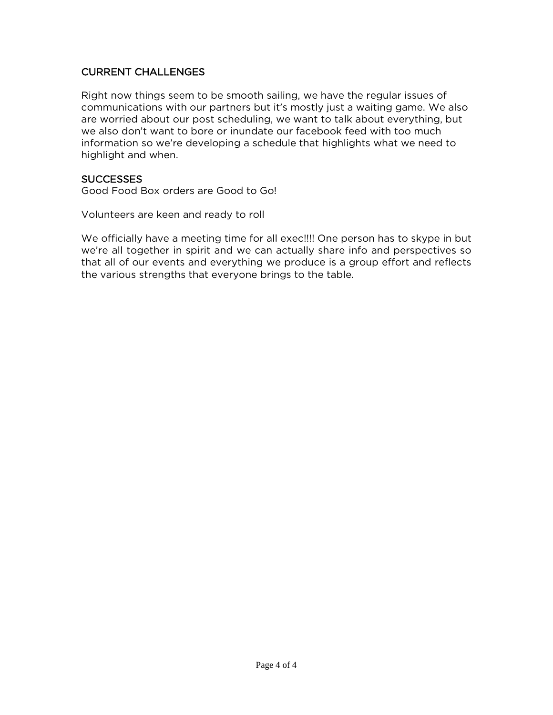### CURRENT CHALLENGES

Right now things seem to be smooth sailing, we have the regular issues of communications with our partners but it's mostly just a waiting game. We also are worried about our post scheduling, we want to talk about everything, but we also don't want to bore or inundate our facebook feed with too much information so we're developing a schedule that highlights what we need to highlight and when.

### **SUCCESSES**

Good Food Box orders are Good to Go!

Volunteers are keen and ready to roll

We officially have a meeting time for all exec!!!! One person has to skype in but we're all together in spirit and we can actually share info and perspectives so that all of our events and everything we produce is a group effort and reflects the various strengths that everyone brings to the table.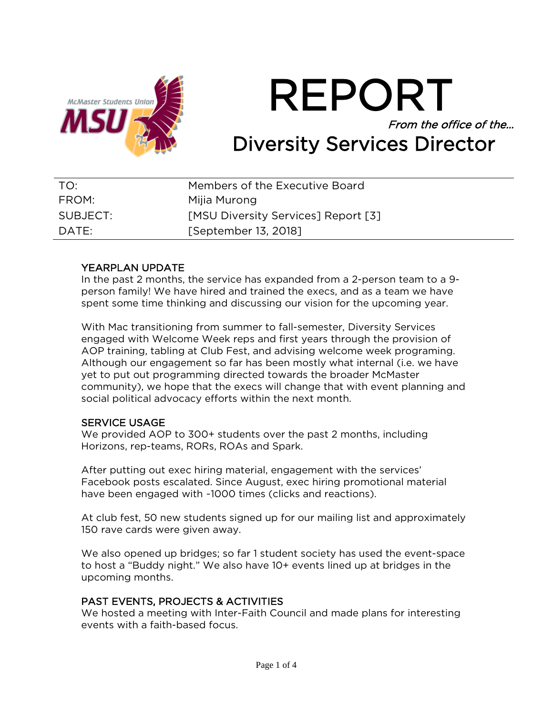

REPORT From the office of the… Diversity Services Director

| TO:      | Members of the Executive Board             |
|----------|--------------------------------------------|
| FROM:    | Mijia Murong                               |
| SUBJECT: | <b>[MSU Diversity Services] Report [3]</b> |
| DATE:    | [September 13, 2018]                       |

### YEARPLAN UPDATE

In the past 2 months, the service has expanded from a 2-person team to a 9 person family! We have hired and trained the execs, and as a team we have spent some time thinking and discussing our vision for the upcoming year.

With Mac transitioning from summer to fall-semester, Diversity Services engaged with Welcome Week reps and first years through the provision of AOP training, tabling at Club Fest, and advising welcome week programing. Although our engagement so far has been mostly what internal (i.e. we have yet to put out programming directed towards the broader McMaster community), we hope that the execs will change that with event planning and social political advocacy efforts within the next month.

### SERVICE USAGE

We provided AOP to 300+ students over the past 2 months, including Horizons, rep-teams, RORs, ROAs and Spark.

After putting out exec hiring material, engagement with the services' Facebook posts escalated. Since August, exec hiring promotional material have been engaged with ~1000 times (clicks and reactions).

At club fest, 50 new students signed up for our mailing list and approximately 150 rave cards were given away.

We also opened up bridges; so far 1 student society has used the event-space to host a "Buddy night." We also have 10+ events lined up at bridges in the upcoming months.

### PAST EVENTS, PROJECTS & ACTIVITIES

We hosted a meeting with Inter-Faith Council and made plans for interesting events with a faith-based focus.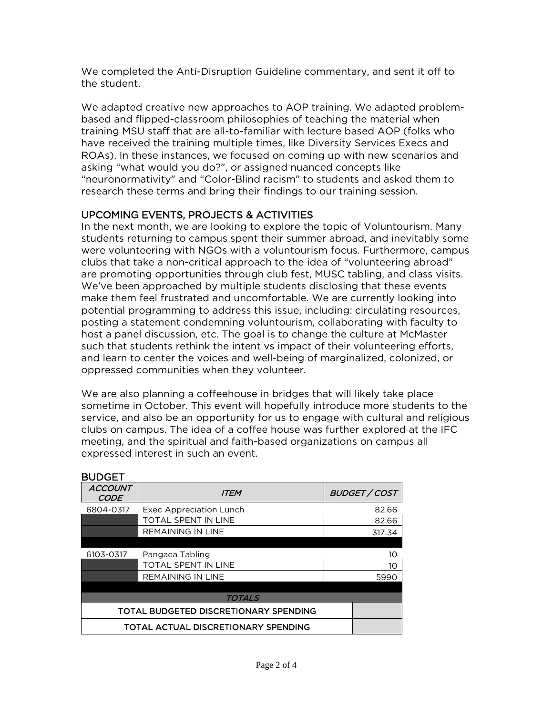We completed the Anti-Disruption Guideline commentary, and sent it off to the student.

We adapted creative new approaches to AOP training. We adapted problembased and flipped-classroom philosophies of teaching the material when training MSU staff that are all-to-familiar with lecture based AOP (folks who have received the training multiple times, like Diversity Services Execs and ROAs). In these instances, we focused on coming up with new scenarios and asking "what would you do?", or assigned nuanced concepts like "neuronormativity" and "Color-Blind racism" to students and asked them to research these terms and bring their findings to our training session.

### UPCOMING EVENTS, PROJECTS & ACTIVITIES

In the next month, we are looking to explore the topic of Voluntourism. Many students returning to campus spent their summer abroad, and inevitably some were volunteering with NGOs with a voluntourism focus. Furthermore, campus clubs that take a non-critical approach to the idea of "volunteering abroad" are promoting opportunities through club fest, MUSC tabling, and class visits. We've been approached by multiple students disclosing that these events make them feel frustrated and uncomfortable. We are currently looking into potential programming to address this issue, including: circulating resources, posting a statement condemning voluntourism, collaborating with faculty to host a panel discussion, etc. The goal is to change the culture at McMaster such that students rethink the intent vs impact of their volunteering efforts, and learn to center the voices and well-being of marginalized, colonized, or oppressed communities when they volunteer.

We are also planning a coffeehouse in bridges that will likely take place sometime in October. This event will hopefully introduce more students to the service, and also be an opportunity for us to engage with cultural and religious clubs on campus. The idea of a coffee house was further explored at the IFC meeting, and the spiritual and faith-based organizations on campus all expressed interest in such an event.

| <b>BUDGET</b>                 |                                       |  |               |
|-------------------------------|---------------------------------------|--|---------------|
| <i>ACCOUNT</i><br><b>CODE</b> | <b>ITEM</b>                           |  | BUDGET / COST |
| 6804-0317                     | <b>Exec Appreciation Lunch</b>        |  | 82.66         |
|                               | <b>TOTAL SPENT IN LINE</b>            |  | 82.66         |
|                               | <b>REMAINING IN LINE</b>              |  | 317.34        |
|                               |                                       |  |               |
| 6103-0317                     | Pangaea Tabling                       |  | 10            |
|                               | <b>TOTAL SPENT IN LINE</b>            |  | 10            |
|                               | <b>REMAINING IN LINE</b>              |  | 5990          |
|                               |                                       |  |               |
|                               | TOTALS                                |  |               |
|                               | TOTAL BUDGETED DISCRETIONARY SPENDING |  |               |
|                               | TOTAL ACTUAL DISCRETIONARY SPENDING   |  |               |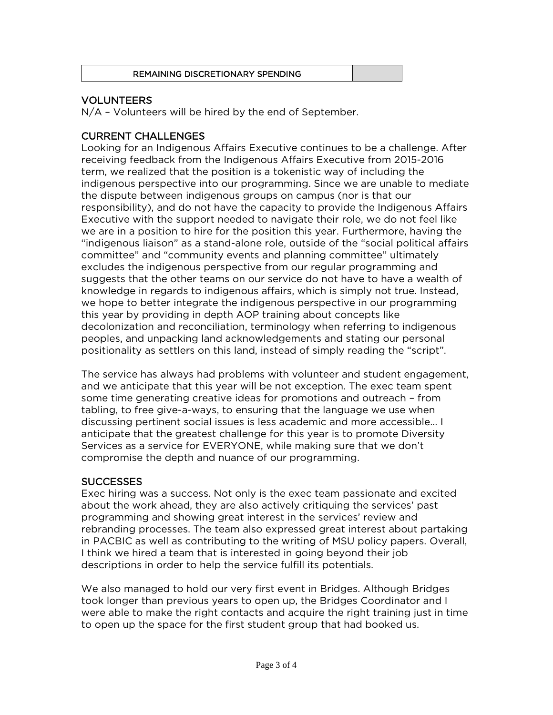### REMAINING DISCRETIONARY SPENDING

### VOLUNTEERS

N/A – Volunteers will be hired by the end of September.

### CURRENT CHALLENGES

Looking for an Indigenous Affairs Executive continues to be a challenge. After receiving feedback from the Indigenous Affairs Executive from 2015-2016 term, we realized that the position is a tokenistic way of including the indigenous perspective into our programming. Since we are unable to mediate the dispute between indigenous groups on campus (nor is that our responsibility), and do not have the capacity to provide the Indigenous Affairs Executive with the support needed to navigate their role, we do not feel like we are in a position to hire for the position this year. Furthermore, having the "indigenous liaison" as a stand-alone role, outside of the "social political affairs committee" and "community events and planning committee" ultimately excludes the indigenous perspective from our regular programming and suggests that the other teams on our service do not have to have a wealth of knowledge in regards to indigenous affairs, which is simply not true. Instead, we hope to better integrate the indigenous perspective in our programming this year by providing in depth AOP training about concepts like decolonization and reconciliation, terminology when referring to indigenous peoples, and unpacking land acknowledgements and stating our personal positionality as settlers on this land, instead of simply reading the "script".

The service has always had problems with volunteer and student engagement, and we anticipate that this year will be not exception. The exec team spent some time generating creative ideas for promotions and outreach – from tabling, to free give-a-ways, to ensuring that the language we use when discussing pertinent social issues is less academic and more accessible… I anticipate that the greatest challenge for this year is to promote Diversity Services as a service for EVERYONE, while making sure that we don't compromise the depth and nuance of our programming.

### **SUCCESSES**

Exec hiring was a success. Not only is the exec team passionate and excited about the work ahead, they are also actively critiquing the services' past programming and showing great interest in the services' review and rebranding processes. The team also expressed great interest about partaking in PACBIC as well as contributing to the writing of MSU policy papers. Overall, I think we hired a team that is interested in going beyond their job descriptions in order to help the service fulfill its potentials.

We also managed to hold our very first event in Bridges. Although Bridges took longer than previous years to open up, the Bridges Coordinator and I were able to make the right contacts and acquire the right training just in time to open up the space for the first student group that had booked us.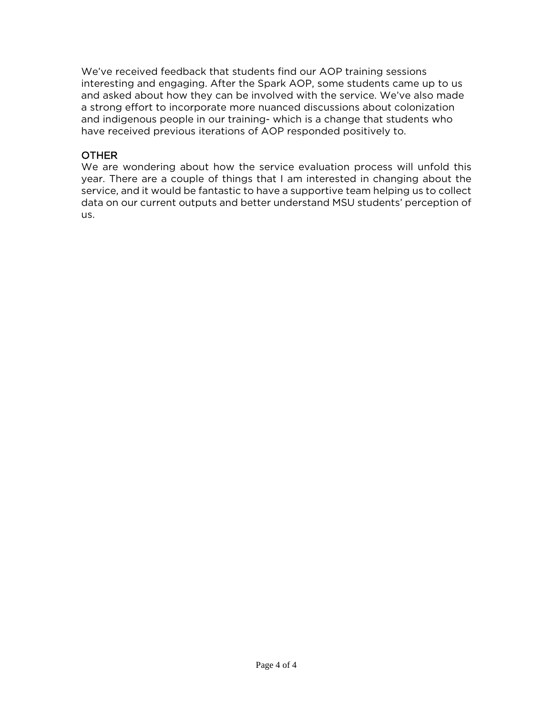We've received feedback that students find our AOP training sessions interesting and engaging. After the Spark AOP, some students came up to us and asked about how they can be involved with the service. We've also made a strong effort to incorporate more nuanced discussions about colonization and indigenous people in our training- which is a change that students who have received previous iterations of AOP responded positively to.

### **OTHER**

We are wondering about how the service evaluation process will unfold this year. There are a couple of things that I am interested in changing about the service, and it would be fantastic to have a supportive team helping us to collect data on our current outputs and better understand MSU students' perception of us.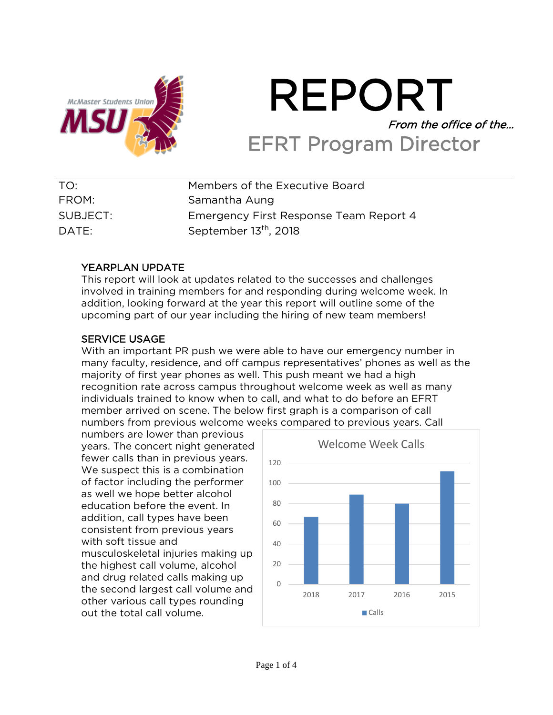

# REPORT From the office of the… EFRT Program Director

| TO:      | Members of the Executive Board         |
|----------|----------------------------------------|
| FROM:    | Samantha Aung                          |
| SUBJECT: | Emergency First Response Team Report 4 |
| DATE:    | September 13 <sup>th</sup> , 2018      |

### YEARPLAN UPDATE

This report will look at updates related to the successes and challenges involved in training members for and responding during welcome week. In addition, looking forward at the year this report will outline some of the upcoming part of our year including the hiring of new team members!

### SERVICE USAGE

With an important PR push we were able to have our emergency number in many faculty, residence, and off campus representatives' phones as well as the majority of first year phones as well. This push meant we had a high recognition rate across campus throughout welcome week as well as many individuals trained to know when to call, and what to do before an EFRT member arrived on scene. The below first graph is a comparison of call numbers from previous welcome weeks compared to previous years. Call

numbers are lower than previous years. The concert night generated fewer calls than in previous years. We suspect this is a combination of factor including the performer as well we hope better alcohol education before the event. In addition, call types have been consistent from previous years with soft tissue and musculoskeletal injuries making up the highest call volume, alcohol and drug related calls making up the second largest call volume and other various call types rounding out the total call volume.

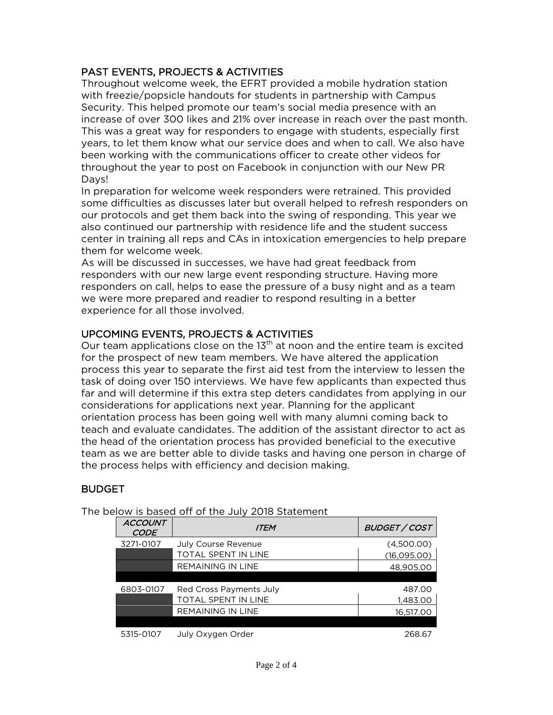### PAST EVENTS, PROJECTS & ACTIVITIES

Throughout welcome week, the EFRT provided a mobile hydration station with freezie/popsicle handouts for students in partnership with Campus Security. This helped promote our team's social media presence with an increase of over 300 likes and 21% over increase in reach over the past month. This was a great way for responders to engage with students, especially first years, to let them know what our service does and when to call. We also have been working with the communications officer to create other videos for throughout the year to post on Facebook in conjunction with our New PR Days!

In preparation for welcome week responders were retrained. This provided some difficulties as discusses later but overall helped to refresh responders on our protocols and get them back into the swing of responding. This year we also continued our partnership with residence life and the student success center in training all reps and CAs in intoxication emergencies to help prepare them for welcome week.

As will be discussed in successes, we have had great feedback from responders with our new large event responding structure. Having more responders on call, helps to ease the pressure of a busy night and as a team we were more prepared and readier to respond resulting in a better experience for all those involved.

### UPCOMING EVENTS, PROJECTS & ACTIVITIES

Our team applications close on the  $13<sup>th</sup>$  at noon and the entire team is excited for the prospect of new team members. We have altered the application process this year to separate the first aid test from the interview to lessen the task of doing over 150 interviews. We have few applicants than expected thus far and will determine if this extra step deters candidates from applying in our considerations for applications next year. Planning for the applicant orientation process has been going well with many alumni coming back to teach and evaluate candidates. The addition of the assistant director to act as the head of the orientation process has provided beneficial to the executive team as we are better able to divide tasks and having one person in charge of the process helps with efficiency and decision making.

### BUDGET

| <b>ACCOUNT</b><br><b>CODE</b> | <b>ITEM</b>                | <b>BUDGET / COST</b> |
|-------------------------------|----------------------------|----------------------|
| 3271-0107                     | <b>July Course Revenue</b> | (4,500.00)           |
|                               | TOTAL SPENT IN LINE        | (16,095.00)          |
|                               | <b>REMAINING IN LINE</b>   | 48,905.00            |
|                               |                            |                      |
| 6803-0107                     | Red Cross Payments July    | 487.00               |
|                               | TOTAL SPENT IN LINE        | 1,483.00             |
|                               | <b>REMAINING IN LINE</b>   | 16.517.00            |
|                               |                            |                      |
| 5315-0107                     | July Oxygen Order          | 268.67               |

The below is based off of the July 2018 Statement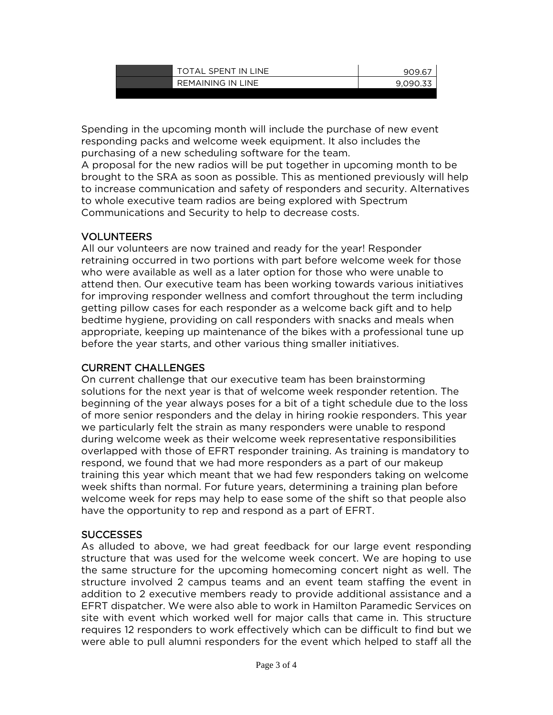| TOTAL SPENT IN LINE | 909.67 |
|---------------------|--------|
| REMAINING IN LINE   | 9.090. |
|                     |        |

Spending in the upcoming month will include the purchase of new event responding packs and welcome week equipment. It also includes the purchasing of a new scheduling software for the team.

A proposal for the new radios will be put together in upcoming month to be brought to the SRA as soon as possible. This as mentioned previously will help to increase communication and safety of responders and security. Alternatives to whole executive team radios are being explored with Spectrum Communications and Security to help to decrease costs.

### VOLUNTEERS

All our volunteers are now trained and ready for the year! Responder retraining occurred in two portions with part before welcome week for those who were available as well as a later option for those who were unable to attend then. Our executive team has been working towards various initiatives for improving responder wellness and comfort throughout the term including getting pillow cases for each responder as a welcome back gift and to help bedtime hygiene, providing on call responders with snacks and meals when appropriate, keeping up maintenance of the bikes with a professional tune up before the year starts, and other various thing smaller initiatives.

### CURRENT CHALLENGES

On current challenge that our executive team has been brainstorming solutions for the next year is that of welcome week responder retention. The beginning of the year always poses for a bit of a tight schedule due to the loss of more senior responders and the delay in hiring rookie responders. This year we particularly felt the strain as many responders were unable to respond during welcome week as their welcome week representative responsibilities overlapped with those of EFRT responder training. As training is mandatory to respond, we found that we had more responders as a part of our makeup training this year which meant that we had few responders taking on welcome week shifts than normal. For future years, determining a training plan before welcome week for reps may help to ease some of the shift so that people also have the opportunity to rep and respond as a part of EFRT.

### **SUCCESSES**

As alluded to above, we had great feedback for our large event responding structure that was used for the welcome week concert. We are hoping to use the same structure for the upcoming homecoming concert night as well. The structure involved 2 campus teams and an event team staffing the event in addition to 2 executive members ready to provide additional assistance and a EFRT dispatcher. We were also able to work in Hamilton Paramedic Services on site with event which worked well for major calls that came in. This structure requires 12 responders to work effectively which can be difficult to find but we were able to pull alumni responders for the event which helped to staff all the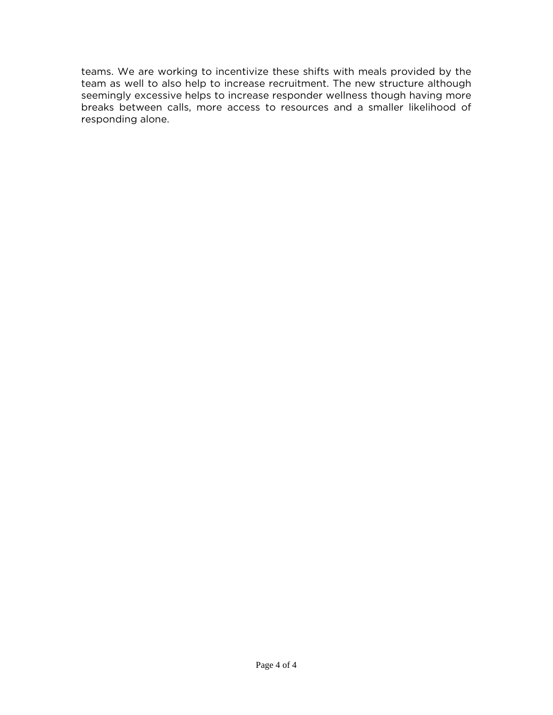teams. We are working to incentivize these shifts with meals provided by the team as well to also help to increase recruitment. The new structure although seemingly excessive helps to increase responder wellness though having more breaks between calls, more access to resources and a smaller likelihood of responding alone.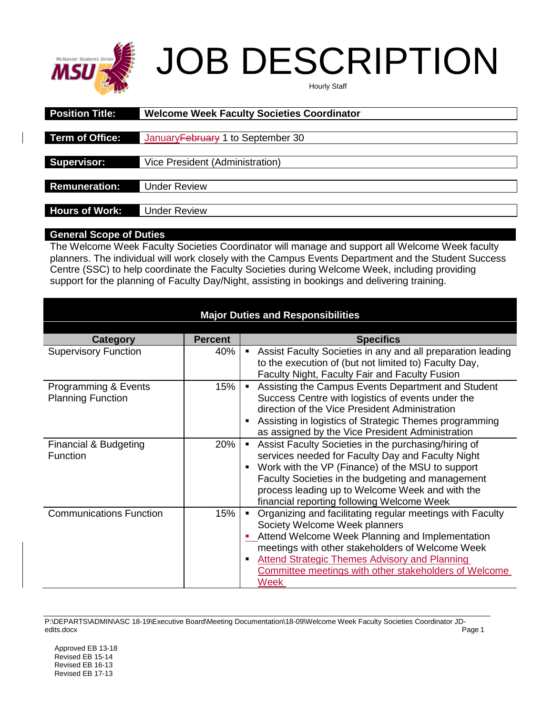

# JOB DESCRIPTION

| Hourly Staff |  |
|--------------|--|
|--------------|--|

| <b>Position Title:</b> | <b>Welcome Week Faculty Societies Coordinator</b> |
|------------------------|---------------------------------------------------|
|                        |                                                   |
| <b>Term of Office:</b> | January February 1 to September 30                |
|                        |                                                   |
| Supervisor:            | Vice President (Administration)                   |
|                        |                                                   |
| <b>Remuneration:</b>   | <b>Under Review</b>                               |
|                        |                                                   |
| <b>Hours of Work:</b>  | <b>Under Review</b>                               |

### **General Scope of Duties**

The Welcome Week Faculty Societies Coordinator will manage and support all Welcome Week faculty planners. The individual will work closely with the Campus Events Department and the Student Success Centre (SSC) to help coordinate the Faculty Societies during Welcome Week, including providing support for the planning of Faculty Day/Night, assisting in bookings and delivering training.

| <b>Major Duties and Responsibilities</b> |                |                                                                                                                                                                          |
|------------------------------------------|----------------|--------------------------------------------------------------------------------------------------------------------------------------------------------------------------|
| Category                                 | <b>Percent</b> | <b>Specifics</b>                                                                                                                                                         |
| <b>Supervisory Function</b>              | 40%            | • Assist Faculty Societies in any and all preparation leading<br>to the execution of (but not limited to) Faculty Day,<br>Faculty Night, Faculty Fair and Faculty Fusion |
| Programming & Events                     | 15%            | Assisting the Campus Events Department and Student<br>$\blacksquare$ .                                                                                                   |
| <b>Planning Function</b>                 |                | Success Centre with logistics of events under the                                                                                                                        |
|                                          |                | direction of the Vice President Administration                                                                                                                           |
|                                          |                | Assisting in logistics of Strategic Themes programming<br>as assigned by the Vice President Administration                                                               |
| Financial & Budgeting                    | 20%            | Assist Faculty Societies in the purchasing/hiring of<br>$\mathbf{u}$                                                                                                     |
| <b>Function</b>                          |                | services needed for Faculty Day and Faculty Night                                                                                                                        |
|                                          |                | Work with the VP (Finance) of the MSU to support                                                                                                                         |
|                                          |                | Faculty Societies in the budgeting and management                                                                                                                        |
|                                          |                | process leading up to Welcome Week and with the<br>financial reporting following Welcome Week                                                                            |
| <b>Communications Function</b>           | 15%            | Organizing and facilitating regular meetings with Faculty<br>$\blacksquare$ .                                                                                            |
|                                          |                | Society Welcome Week planners                                                                                                                                            |
|                                          |                | • Attend Welcome Week Planning and Implementation                                                                                                                        |
|                                          |                | meetings with other stakeholders of Welcome Week                                                                                                                         |
|                                          |                | <b>Attend Strategic Themes Advisory and Planning</b><br>٠                                                                                                                |
|                                          |                | Committee meetings with other stakeholders of Welcome                                                                                                                    |
|                                          |                | <b>Week</b>                                                                                                                                                              |

P:\DEPARTS\ADMIN\ASC 18-19\Executive Board\Meeting Documentation\18-09\Welcome Week Faculty Societies Coordinator JDedits.docx Page 1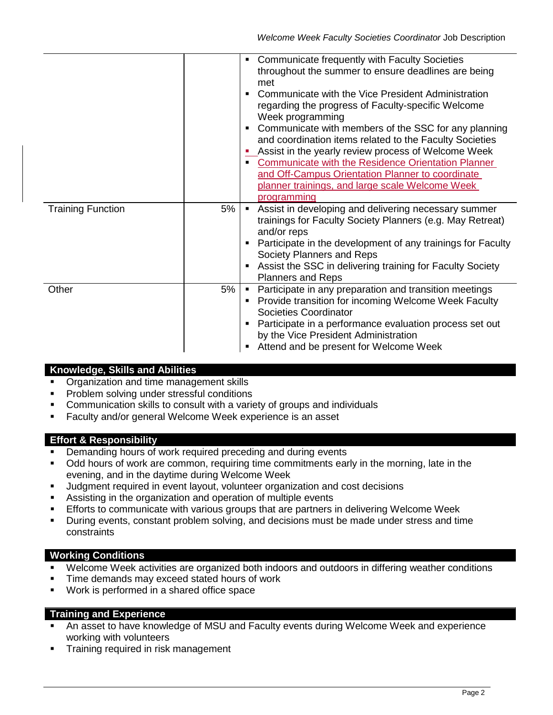|                          |    | Communicate frequently with Faculty Societies<br>throughout the summer to ensure deadlines are being<br>met<br>Communicate with the Vice President Administration<br>п<br>regarding the progress of Faculty-specific Welcome<br>Week programming<br>Communicate with members of the SSC for any planning<br>and coordination items related to the Faculty Societies<br>Assist in the yearly review process of Welcome Week<br>Communicate with the Residence Orientation Planner<br>$\blacksquare$<br>and Off-Campus Orientation Planner to coordinate<br>planner trainings, and large scale Welcome Week<br>programming |
|--------------------------|----|--------------------------------------------------------------------------------------------------------------------------------------------------------------------------------------------------------------------------------------------------------------------------------------------------------------------------------------------------------------------------------------------------------------------------------------------------------------------------------------------------------------------------------------------------------------------------------------------------------------------------|
| <b>Training Function</b> | 5% | Assist in developing and delivering necessary summer<br>trainings for Faculty Society Planners (e.g. May Retreat)<br>and/or reps<br>Participate in the development of any trainings for Faculty<br>Society Planners and Reps<br>Assist the SSC in delivering training for Faculty Society<br><b>Planners and Reps</b>                                                                                                                                                                                                                                                                                                    |
| Other                    | 5% | Participate in any preparation and transition meetings<br>Provide transition for incoming Welcome Week Faculty<br>Societies Coordinator<br>Participate in a performance evaluation process set out<br>by the Vice President Administration<br>Attend and be present for Welcome Week                                                                                                                                                                                                                                                                                                                                     |

### **Knowledge, Skills and Abilities**

- **Organization and time management skills**
- Problem solving under stressful conditions
- Communication skills to consult with a variety of groups and individuals
- Faculty and/or general Welcome Week experience is an asset

### **Effort & Responsibility**

- **Demanding hours of work required preceding and during events**
- Odd hours of work are common, requiring time commitments early in the morning, late in the evening, and in the daytime during Welcome Week
- Judgment required in event layout, volunteer organization and cost decisions
- Assisting in the organization and operation of multiple events
- Efforts to communicate with various groups that are partners in delivering Welcome Week
- During events, constant problem solving, and decisions must be made under stress and time constraints

### **Working Conditions**

- Welcome Week activities are organized both indoors and outdoors in differing weather conditions
- **Time demands may exceed stated hours of work**
- Work is performed in a shared office space

### **Training and Experience**

- An asset to have knowledge of MSU and Faculty events during Welcome Week and experience working with volunteers
- Training required in risk management